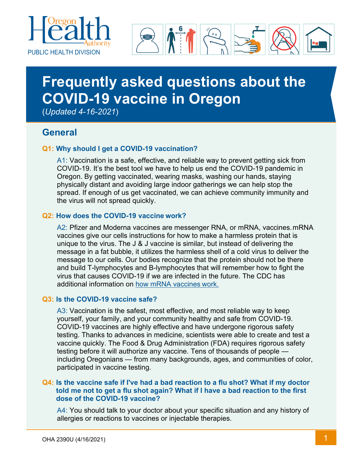



# **Frequently asked questions about the COVID-19 vaccine in Oregon**

(*Updated 4-16-2021*)

# **General**

#### **Q1: Why should I get a COVID-19 vaccination?**

A1: Vaccination is a safe, effective, and reliable way to prevent getting sick from COVID-19. It's the best tool we have to help us end the COVID-19 pandemic in Oregon. By getting vaccinated, wearing masks, washing our hands, staying physically distant and avoiding large indoor gatherings we can help stop the spread. If enough of us get vaccinated, we can achieve community immunity and the virus will not spread quickly.

#### **Q2: How does the COVID-19 vaccine work?**

A2: Pfizer and Moderna vaccines are messenger RNA, or mRNA, vaccines.mRNA vaccines give our cells instructions for how to make a harmless protein that is unique to the virus. The J & J vaccine is similar, but instead of delivering the message in a fat bubble, it utilizes the harmless shell of a cold virus to deliver the message to our cells. Our bodies recognize that the protein should not be there and build T-lymphocytes and B-lymphocytes that will remember how to fight the virus that causes COVID-19 if we are infected in the future. The CDC has additional information on [how mRNA vaccines](https://www.cdc.gov/coronavirus/2019-ncov/vaccines/different-vaccines/mrna.html) work.

#### **Q3: Is the COVID-19 vaccine safe?**

A3: Vaccination is the safest, most effective, and most reliable way to keep yourself, your family, and your community healthy and safe from COVID-19. COVID-19 vaccines are highly effective and have undergone rigorous safety testing. Thanks to advances in medicine, scientists were able to create and test a vaccine quickly. The Food & Drug Administration (FDA) requires rigorous safety testing before it will authorize any vaccine. Tens of thousands of people including Oregonians — from many backgrounds, ages, and communities of color, participated in vaccine testing.

#### **Q4: Is the vaccine safe if I've had a bad reaction to a flu shot? What if my doctor told me not to get a flu shot again? What if I have a bad reaction to the first dose of the COVID-19 vaccine?**

A4: You should talk to your doctor about your specific situation and any history of allergies or reactions to vaccines or injectable therapies.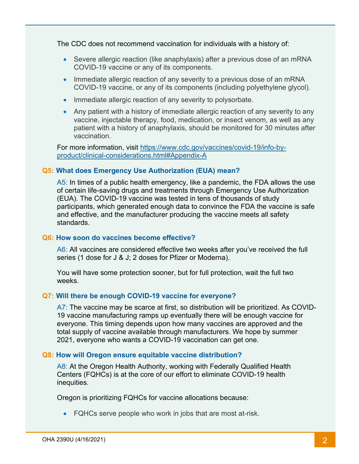The CDC does not recommend vaccination for individuals with a history of:

- Severe allergic reaction (like anaphylaxis) after a previous dose of an mRNA COVID-19 vaccine or any of its components.
- Immediate allergic reaction of any severity to a previous dose of an mRNA COVID-19 vaccine, or any of its components (including polyethylene glycol).
- Immediate allergic reaction of any severity to polysorbate.
- Any patient with a history of immediate allergic reaction of any severity to any vaccine, injectable therapy, food, medication, or insect venom, as well as any patient with a history of anaphylaxis, should be monitored for 30 minutes after vaccination.

For more information, visit [https://www.cdc.gov/vaccines/covid-19/info-by](https://www.cdc.gov/vaccines/covid-19/info-by-product/clinical-considerations.html#Appendix-A)[product/clinical-considerations.html#Appendix-A](https://www.cdc.gov/vaccines/covid-19/info-by-product/clinical-considerations.html#Appendix-A)

#### **Q5: What does Emergency Use Authorization (EUA) mean?**

A5: In times of a public health emergency, like a pandemic, the FDA allows the use of certain life-saving drugs and treatments through Emergency Use Authorization (EUA). The COVID-19 vaccine was tested in tens of thousands of study participants, which generated enough data to convince the FDA the vaccine is safe and effective, and the manufacturer producing the vaccine meets all safety standards.

#### **Q6: How soon do vaccines become effective?**

A6: All vaccines are considered effective two weeks after you've received the full series (1 dose for J & J; 2 doses for Pfizer or Moderna).

You will have some protection sooner, but for full protection, wait the full two weeks.

#### **Q7: Will there be enough COVID-19 vaccine for everyone?**

A7: The vaccine may be scarce at first, so distribution will be prioritized. As COVID-19 vaccine manufacturing ramps up eventually there will be enough vaccine for everyone. This timing depends upon how many vaccines are approved and the total supply of vaccine available through manufacturers. We hope by summer 2021, everyone who wants a COVID-19 vaccination can get one.

#### **Q8: How will Oregon ensure equitable vaccine distribution?**

A8: At the Oregon Health Authority, working with Federally Qualified Health Centers (FQHCs) is at the core of our effort to eliminate COVID-19 health inequities.

Oregon is prioritizing FQHCs for vaccine allocations because:

• FQHCs serve people who work in jobs that are most at-risk.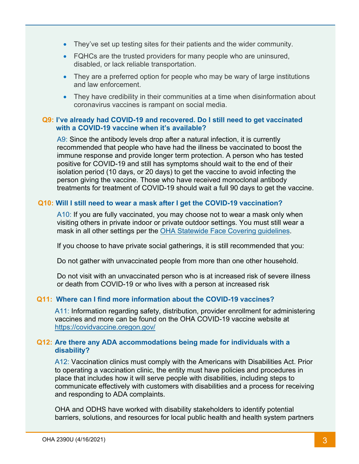- They've set up testing sites for their patients and the wider community.
- FQHCs are the trusted providers for many people who are uninsured, disabled, or lack reliable transportation.
- They are a preferred option for people who may be wary of large institutions and law enforcement.
- They have credibility in their communities at a time when disinformation about coronavirus vaccines is rampant on social media.

#### **Q9: I've already had COVID-19 and recovered. Do I still need to get vaccinated with a COVID-19 vaccine when it's available?**

A9: Since the antibody levels drop after a natural infection, it is currently recommended that people who have had the illness be vaccinated to boost the immune response and provide longer term protection. A person who has tested positive for COVID-19 and still has symptoms should wait to the end of their isolation period (10 days, or 20 days) to get the vaccine to avoid infecting the person giving the vaccine. Those who have received monoclonal antibody treatments for treatment of COVID-19 should wait a full 90 days to get the vaccine.

#### **Q10: Will I still need to wear a mask after I get the COVID-19 vaccination?**

A10: If you are fully vaccinated, you may choose not to wear a mask only when visiting others in private indoor or private outdoor settings. You must still wear a mask in all other settings per the [OHA Statewide Face Covering guidelines.](https://sharedsystems.dhsoha.state.or.us/DHSForms/Served/le2288K.pdf)

If you choose to have private social gatherings, it is still recommended that you:

Do not gather with unvaccinated people from more than one other household.

Do not visit with an unvaccinated person who is at increased risk of severe illness or death from COVID-19 or who lives with a person at increased risk

#### **Q11: Where can I find more information about the COVID-19 vaccines?**

A11: Information regarding safety, distribution, provider enrollment for administering vaccines and more can be found on the OHA COVID-19 vaccine website at <https://covidvaccine.oregon.gov/>

#### **Q12: Are there any ADA accommodations being made for individuals with a disability?**

A12: Vaccination clinics must comply with the Americans with Disabilities Act. Prior to operating a vaccination clinic, the entity must have policies and procedures in place that includes how it will serve people with disabilities, including steps to communicate effectively with customers with disabilities and a process for receiving and responding to ADA complaints.

OHA and ODHS have worked with disability stakeholders to identify potential barriers, solutions, and resources for local public health and health system partners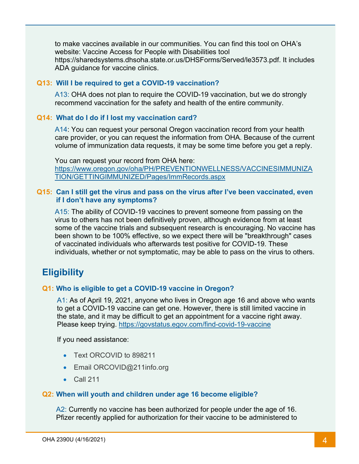to make vaccines available in our communities. You can find this tool on OHA's website: Vaccine Access for People with Disabilities tool https://sharedsystems.dhsoha.state.or.us/DHSForms/Served/le3573.pdf. It includes ADA guidance for vaccine clinics.

#### **Q13: Will I be required to get a COVID-19 vaccination?**

A13: OHA does not plan to require the COVID-19 vaccination, but we do strongly recommend vaccination for the safety and health of the entire community.

#### **Q14: What do I do if I lost my vaccination card?**

A14: You can request your personal Oregon vaccination record from your health care provider, or you can request the information from OHA. Because of the current volume of immunization data requests, it may be some time before you get a reply.

You can request your record from OHA here: [https://www.oregon.gov/oha/PH/PREVENTIONWELLNESS/VACCINESIMMUNIZA](https://www.oregon.gov/oha/PH/PREVENTIONWELLNESS/VACCINESIMMUNIZATION/GETTINGIMMUNIZED/Pages/ImmRecords.aspx) [TION/GETTINGIMMUNIZED/Pages/ImmRecords.aspx](https://www.oregon.gov/oha/PH/PREVENTIONWELLNESS/VACCINESIMMUNIZATION/GETTINGIMMUNIZED/Pages/ImmRecords.aspx)

#### **Q15: Can I still get the virus and pass on the virus after I've been vaccinated, even if I don't have any symptoms?**

A15: The ability of COVID-19 vaccines to prevent someone from passing on the virus to others has not been definitively proven, although evidence from at least some of the vaccine trials and subsequent research is encouraging. No vaccine has been shown to be 100% effective, so we expect there will be "breakthrough" cases of vaccinated individuals who afterwards test positive for COVID-19. These individuals, whether or not symptomatic, may be able to pass on the virus to others.

# **Eligibility**

#### **Q1: Who is eligible to get a COVID-19 vaccine in Oregon?**

A1: As of April 19, 2021, anyone who lives in Oregon age 16 and above who wants to get a COVID-19 vaccine can get one. However, there is still limited vaccine in the state, and it may be difficult to get an appointment for a vaccine right away. Please keep trying. <https://govstatus.egov.com/find-covid-19-vaccine>

If you need assistance:

- Text ORCOVID to 898211
- Email ORCOVID@211info.org
- Call 211

#### **Q2: When will youth and children under age 16 become eligible?**

A2: Currently no vaccine has been authorized for people under the age of 16. Pfizer recently applied for authorization for their vaccine to be administered to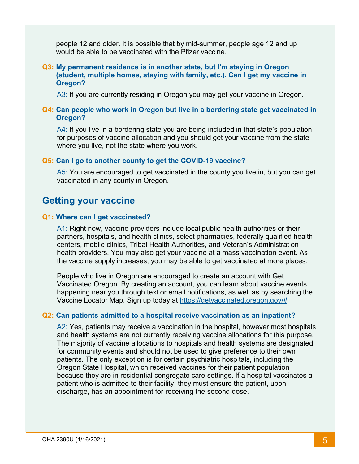people 12 and older. It is possible that by mid-summer, people age 12 and up would be able to be vaccinated with the Pfizer vaccine.

#### **Q3: My permanent residence is in another state, but I'm staying in Oregon (student, multiple homes, staying with family, etc.). Can I get my vaccine in Oregon?**

A3: If you are currently residing in Oregon you may get your vaccine in Oregon.

#### **Q4: Can people who work in Oregon but live in a bordering state get vaccinated in Oregon?**

A4: If you live in a bordering state you are being included in that state's population for purposes of vaccine allocation and you should get your vaccine from the state where you live, not the state where you work.

#### **Q5: Can I go to another county to get the COVID-19 vaccine?**

A5: You are encouraged to get vaccinated in the county you live in, but you can get vaccinated in any county in Oregon.

## **Getting your vaccine**

#### **Q1: Where can I get vaccinated?**

A1: Right now, vaccine providers include local public health authorities or their partners, hospitals, and health clinics, select pharmacies, federally qualified health centers, mobile clinics, Tribal Health Authorities, and Veteran's Administration health providers. You may also get your vaccine at a mass vaccination event. As the vaccine supply increases, you may be able to get vaccinated at more places.

People who live in Oregon are encouraged to create an account with Get Vaccinated Oregon. By creating an account, you can learn about vaccine events happening near you through text or email notifications, as well as by searching the Vaccine Locator Map. Sign up today at [https://getvaccinated.oregon.gov/#](https://getvaccinated.oregon.gov/#/)

#### **Q2: Can patients admitted to a hospital receive vaccination as an inpatient?**

A2: Yes, patients may receive a vaccination in the hospital, however most hospitals and health systems are not currently receiving vaccine allocations for this purpose. The majority of vaccine allocations to hospitals and health systems are designated for community events and should not be used to give preference to their own patients. The only exception is for certain psychiatric hospitals, including the Oregon State Hospital, which received vaccines for their patient population because they are in residential congregate care settings. If a hospital vaccinates a patient who is admitted to their facility, they must ensure the patient, upon discharge, has an appointment for receiving the second dose.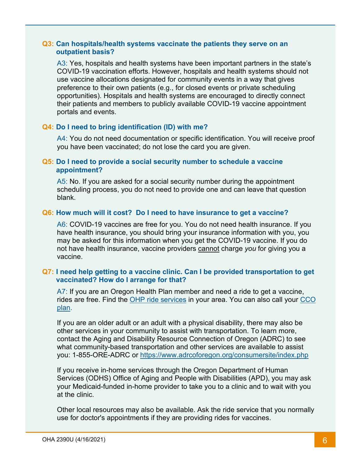#### **Q3: Can hospitals/health systems vaccinate the patients they serve on an outpatient basis?**

A3: Yes, hospitals and health systems have been important partners in the state's COVID-19 vaccination efforts. However, hospitals and health systems should not use vaccine allocations designated for community events in a way that gives preference to their own patients (e.g., for closed events or private scheduling opportunities). Hospitals and health systems are encouraged to directly connect their patients and members to publicly available COVID-19 vaccine appointment portals and events.

#### **Q4: Do I need to bring identification (ID) with me?**

A4: You do not need documentation or specific identification. You will receive proof you have been vaccinated; do not lose the card you are given.

#### **Q5: Do I need to provide a social security number to schedule a vaccine appointment?**

A5: No. If you are asked for a social security number during the appointment scheduling process, you do not need to provide one and can leave that question blank.

#### **Q6: How much will it cost? Do I need to have insurance to get a vaccine?**

A6: COVID-19 vaccines are free for you. You do not need health insurance. If you have health insurance, you should bring your insurance information with you, you may be asked for this information when you get the COVID-19 vaccine. If you do not have health insurance, vaccine providers cannot charge *you* for giving you a vaccine.

#### **Q7: I need help getting to a vaccine clinic. Can I be provided transportation to get vaccinated? How do I arrange for that?**

A7: If you are an Oregon Health Plan member and need a ride to get a vaccine, rides are free. Find the [OHP ride services](https://www.oregon.gov/oha/HSD/OHP/Pages/NEMT.aspx) in your area. You can also call your [CCO](https://www.oregon.gov/oha/HSD/OHP/Pages/cco-plans.aspx) [plan.](https://www.oregon.gov/oha/HSD/OHP/Pages/cco-plans.aspx)

If you are an older adult or an adult with a physical disability, there may also be other services in your community to assist with transportation. To learn more, contact the Aging and Disability Resource Connection of Oregon (ADRC) to see what community-based transportation and other services are available to assist you: 1-855-ORE-ADRC or<https://www.adrcoforegon.org/consumersite/index.php>

If you receive in-home services through the Oregon Department of Human Services (ODHS) Office of Aging and People with Disabilities (APD), you may ask your Medicaid-funded in-home provider to take you to a clinic and to wait with you at the clinic.

Other local resources may also be available. Ask the ride service that you normally use for doctor's appointments if they are providing rides for vaccines.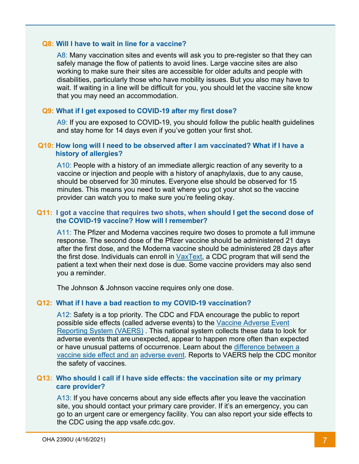#### **Q8: Will I have to wait in line for a vaccine?**

A8: Many vaccination sites and events will ask you to pre-register so that they can safely manage the flow of patients to avoid lines. Large vaccine sites are also working to make sure their sites are accessible for older adults and people with disabilities, particularly those who have mobility issues. But you also may have to wait. If waiting in a line will be difficult for you, you should let the vaccine site know that you may need an accommodation.

#### **Q9: What if I get exposed to COVID-19 after my first dose?**

A9: If you are exposed to COVID-19, you should follow the public health guidelines and stay home for 14 days even if you've gotten your first shot.

#### **Q10: How long will I need to be observed after I am vaccinated? What if I have a history of allergies?**

A10: People with a history of an immediate allergic reaction of any severity to a vaccine or injection and people with a history of anaphylaxis, due to any cause, should be observed for 30 minutes. Everyone else should be observed for 15 minutes. This means you need to wait where you got your shot so the vaccine provider can watch you to make sure you're feeling okay.

#### **Q11: I got a vaccine that requires two shots, when should I get the second dose of the COVID-19 vaccine? How will I remember?**

A11: The Pfizer and Moderna vaccines require two doses to promote a full immune response. The second dose of the Pfizer vaccine should be administered 21 days after the first dose, and the Moderna vaccine should be administered 28 days after the first dose. Individuals can enroll in VaxText, a CDC program that will send the patient a text when their next dose is due. Some vaccine providers may also send you a reminder.

The Johnson & Johnson vaccine requires only one dose.

#### **Q12: What if I have a bad reaction to my COVID-19 vaccination?**

A12: Safety is a top priority. The CDC and FDA encourage the public to report possible side effects (called adverse events) to the [Vaccine Adverse Event](https://vaers.hhs.gov/reportevent.html)  [Reporting System \(VAERS\)](https://vaers.hhs.gov/reportevent.html) . This national system collects these data to look for adverse events that are unexpected, appear to happen more often than expected or have unusual patterns of occurrence. Learn about the [difference between a](https://www.cdc.gov/vaccinesafety/ensuringsafety/sideeffects/index.html)  [vaccine side effect and an](https://www.cdc.gov/vaccinesafety/ensuringsafety/sideeffects/index.html) [adverse event.](https://www.cdc.gov/vaccinesafety/ensuringsafety/sideeffects/index.html) Reports to VAERS help the CDC monitor the safety of vaccines.

#### **Q13: Who should I call if I have side effects: the vaccination site or my primary care provider?**

A13: If you have concerns about any side effects after you leave the vaccination site, you should contact your primary care provider. If it's an emergency, you can go to an urgent care or emergency facility. You can also report your side effects to the CDC using the app [vsafe.cdc.gov.](https://vsafe.cdc.gov/)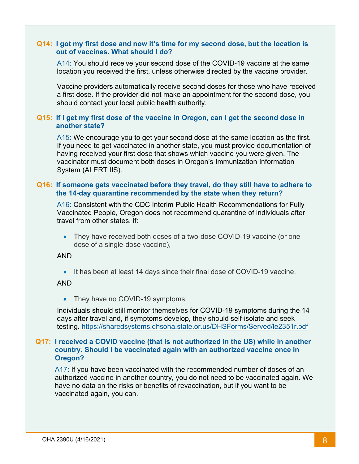#### **Q14: I got my first dose and now it's time for my second dose, but the location is out of vaccines. What should I do?**

A14: You should receive your second dose of the COVID-19 vaccine at the same location you received the first, unless otherwise directed by the vaccine provider.

Vaccine providers automatically receive second doses for those who have received a first dose. If the provider did not make an appointment for the second dose, you should contact your local public health authority.

#### **Q15: If I get my first dose of the vaccine in Oregon, can I get the second dose in another state?**

A15: We encourage you to get your second dose at the same location as the first. If you need to get vaccinated in another state, you must provide documentation of having received your first dose that shows which vaccine you were given. The vaccinator must document both doses in Oregon's Immunization Information System (ALERT IIS).

#### **Q16: If someone gets vaccinated before they travel, do they still have to adhere to the 14-day quarantine recommended by the state when they return?**

A16: Consistent with the CDC Interim Public Health Recommendations for Fully Vaccinated People, Oregon does not recommend quarantine of individuals after travel from other states, if:

• They have received both doses of a two-dose COVID-19 vaccine (or one dose of a single-dose vaccine),

#### AND

• It has been at least 14 days since their final dose of COVID-19 vaccine,

#### AND

• They have no COVID-19 symptoms.

Individuals should still monitor themselves for COVID-19 symptoms during the 14 days after travel and, if symptoms develop, they should self-isolate and seek testing.<https://sharedsystems.dhsoha.state.or.us/DHSForms/Served/le2351r.pdf>

#### **Q17: I received a COVID vaccine (that is not authorized in the US) while in another country. Should I be vaccinated again with an authorized vaccine once in Oregon?**

A17: If you have been vaccinated with the recommended number of doses of an authorized vaccine in another country, you do not need to be vaccinated again. We have no data on the risks or benefits of revaccination, but if you want to be vaccinated again, you can.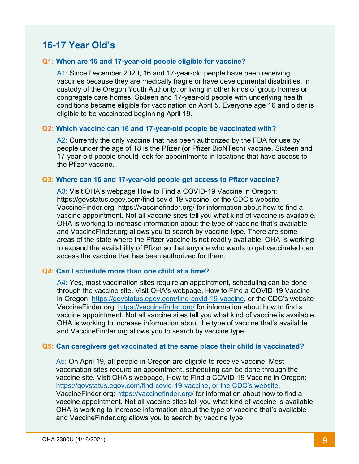# **16-17 Year Old's**

#### **Q1: When are 16 and 17-year-old people eligible for vaccine?**

A1: Since December 2020, 16 and 17-year-old people have been receiving vaccines because they are medically fragile or have developmental disabilities, in custody of the Oregon Youth Authority, or living in other kinds of group homes or congregate care homes. Sixteen and 17-year-old people with underlying health conditions became eligible for vaccination on April 5. Everyone age 16 and older is eligible to be vaccinated beginning April 19.

#### **Q2: Which vaccine can 16 and 17-year-old people be vaccinated with?**

A2: Currently the only vaccine that has been authorized by the FDA for use by people under the age of 18 is the Pfizer (or Pfizer BioNTech) vaccine. Sixteen and 17-year-old people should look for appointments in locations that have access to the Pfizer vaccine.

#### **Q3: Where can 16 and 17-year-old people get access to Pfizer vaccine?**

A3: Visit OHA's webpage How to Find a COVID-19 Vaccine in Oregon: https://govstatus.egov.com/find-covid-19-vaccine, or the CDC's website, VaccineFinder.org: https://vaccinefinder.org/ for information about how to find a vaccine appointment. Not all vaccine sites tell you what kind of vaccine is available. OHA is working to increase information about the type of vaccine that's available and VaccineFinder.org allows you to search by vaccine type. There are some areas of the state where the Pfizer vaccine is not readily available. OHA Is working to expand the availability of Pfizer so that anyone who wants to get vaccinated can access the vaccine that has been authorized for them.

#### **Q4: Can I schedule more than one child at a time?**

A4: Yes, most vaccination sites require an appointment, scheduling can be done through the vaccine site. Visit OHA's webpage, How to Find a COVID-19 Vaccine in Oregon: [https://govstatus.egov.com/find-covid-19-vaccine,](https://govstatus.egov.com/find-covid-19-vaccine) or the CDC's website VaccineFinder.org:<https://vaccinefinder.org/> for information about how to find a vaccine appointment. Not all vaccine sites tell you what kind of vaccine is available. OHA is working to increase information about the type of vaccine that's available and VaccineFinder.org allows you to search by vaccine type.

#### **Q5: Can caregivers get vaccinated at the same place their child is vaccinated?**

A5: On April 19, all people in Oregon are eligible to receive vaccine. Most vaccination sites require an appointment, scheduling can be done through the vaccine site. Visit OHA's webpage, How to Find a COVID-19 Vaccine in Oregon: [https://govstatus.egov.com/find-covid-19-vaccine, or the CDC's website,](https://govstatus.egov.com/find-covid-19-vaccine,%20or%20the%20CDC%E2%80%99s%20website) VaccineFinder.org:<https://vaccinefinder.org/> for information about how to find a vaccine appointment. Not all vaccine sites tell you what kind of vaccine is available. OHA is working to increase information about the type of vaccine that's available and VaccineFinder.org allows you to search by vaccine type.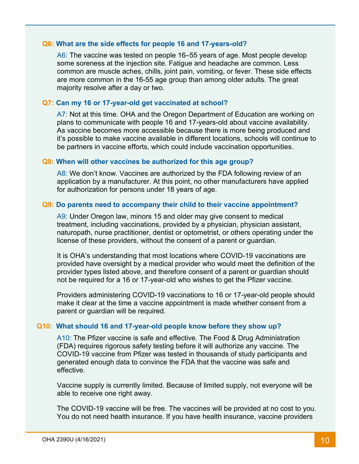#### **Q6: What are the side effects for people 16 and 17-years-old?**

A6: The vaccine was tested on people 16–55 years of age. Most people develop some soreness at the injection site. Fatigue and headache are common. Less common are muscle aches, chills, joint pain, vomiting, or fever. These side effects are more common in the 16-55 age group than among older adults. The great majority resolve after a day or two.

#### **Q7: Can my 16 or 17-year-old get vaccinated at school?**

A7: Not at this time. OHA and the Oregon Department of Education are working on plans to communicate with people 16 and 17-years-old about vaccine availability. As vaccine becomes more accessible because there is more being produced and it's possible to make vaccine available in different locations, schools will continue to be partners in vaccine efforts, which could include vaccination opportunities.

#### **Q8: When will other vaccines be authorized for this age group?**

A8: We don't know. Vaccines are authorized by the FDA following review of an application by a manufacturer. At this point, no other manufacturers have applied for authorization for persons under 18 years of age.

#### **Q9: Do parents need to accompany their child to their vaccine appointment?**

A9: Under Oregon law, minors 15 and older may give consent to medical treatment, including vaccinations, provided by a physician, physician assistant, naturopath, nurse practitioner, dentist or optometrist, or others operating under the license of these providers, without the consent of a parent or guardian.

It is OHA's understanding that most locations where COVID-19 vaccinations are provided have oversight by a medical provider who would meet the definition of the provider types listed above, and therefore consent of a parent or guardian should not be required for a 16 or 17-year-old who wishes to get the Pfizer vaccine.

Providers administering COVID-19 vaccinations to 16 or 17-year-old people should make it clear at the time a vaccine appointment is made whether consent from a parent or guardian will be required.

#### **Q10: What should 16 and 17-year-old people know before they show up?**

A10: The Pfizer vaccine is safe and effective. The Food & Drug Administration (FDA) requires rigorous safety testing before it will authorize any vaccine. The COVID-19 vaccine from Pfizer was tested in thousands of study participants and generated enough data to convince the FDA that the vaccine was safe and effective.

Vaccine supply is currently limited. Because of limited supply, not everyone will be able to receive one right away.

The COVID-19 vaccine will be free. The vaccines will be provided at no cost to you. You do not need health insurance. If you have health insurance, vaccine providers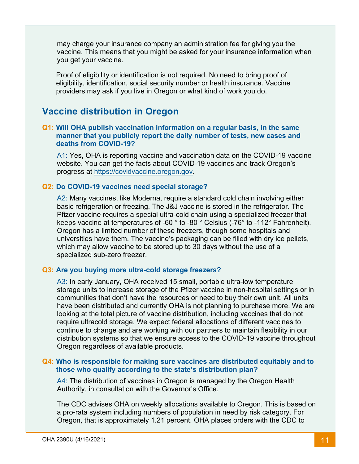may charge your insurance company an administration fee for giving you the vaccine. This means that you might be asked for your insurance information when you get your vaccine.

Proof of eligibility or identification is not required. No need to bring proof of eligibility, identification, social security number or health insurance. Vaccine providers may ask if you live in Oregon or what kind of work you do.

# **Vaccine distribution in Oregon**

#### **Q1: Will OHA publish vaccination information on a regular basis, in the same manner that you publicly report the daily number of tests, new cases and deaths from COVID-19?**

A1: Yes, OHA is reporting vaccine and vaccination data on the COVID-19 vaccine website. You can get the facts about COVID-19 vaccines and track Oregon's progress at [https://covidvaccine.oregon.gov.](https://covidvaccine.oregon.gov/)

#### **Q2: Do COVID-19 vaccines need special storage?**

A2: Many vaccines, like Moderna, require a standard cold chain involving either basic refrigeration or freezing. The J&J vaccine is stored in the refrigerator. The Pfizer vaccine requires a special ultra-cold chain using a specialized freezer that keeps vaccine at temperatures of -60 ° to -80 ° Celsius (-76° to -112° Fahrenheit). Oregon has a limited number of these freezers, though some hospitals and universities have them. The vaccine's packaging can be filled with dry ice pellets, which may allow vaccine to be stored up to 30 days without the use of a specialized sub-zero freezer.

#### **Q3: Are you buying more ultra-cold storage freezers?**

A3: In early January, OHA received 15 small, portable ultra-low temperature storage units to increase storage of the Pfizer vaccine in non-hospital settings or in communities that don't have the resources or need to buy their own unit. All units have been distributed and currently OHA is not planning to purchase more. We are looking at the total picture of vaccine distribution, including vaccines that do not require ultracold storage. We expect federal allocations of different vaccines to continue to change and are working with our partners to maintain flexibility in our distribution systems so that we ensure access to the COVID-19 vaccine throughout Oregon regardless of available products.

#### **Q4: Who is responsible for making sure vaccines are distributed equitably and to those who qualify according to the state's distribution plan?**

A4: The distribution of vaccines in Oregon is managed by the Oregon Health Authority, in consultation with the Governor's Office.

The CDC advises OHA on weekly allocations available to Oregon. This is based on a pro-rata system including numbers of population in need by risk category. For Oregon, that is approximately 1.21 percent. OHA places orders with the CDC to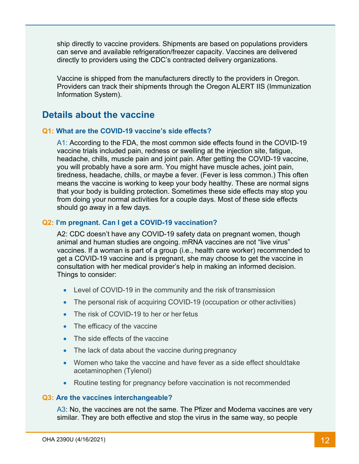ship directly to vaccine providers. Shipments are based on populations providers can serve and available refrigeration/freezer capacity. Vaccines are delivered directly to providers using the CDC's contracted delivery organizations.

Vaccine is shipped from the manufacturers directly to the providers in Oregon. Providers can track their shipments through the Oregon ALERT IIS (Immunization Information System).

# **Details about the vaccine**

#### **Q1: What are the COVID-19 vaccine's side effects?**

A1: According to the FDA, the most common side effects found in the COVID-19 vaccine trials included pain, redness or swelling at the injection site, fatigue, headache, chills, muscle pain and joint pain. After getting the COVID-19 vaccine, you will probably have a sore arm. You might have muscle aches, joint pain, tiredness, headache, chills, or maybe a fever. (Fever is less common.) This often means the vaccine is working to keep your body healthy. These are normal signs that your body is building protection. Sometimes these side effects may stop you from doing your normal activities for a couple days. Most of these side effects should go away in a few days.

#### **Q2: I'm pregnant. Can I get a COVID-19 vaccination?**

A2: CDC doesn't have any COVID-19 safety data on pregnant women, though animal and human studies are ongoing. mRNA vaccines are not "live virus" vaccines. If a woman is part of a group (i.e., health care worker) recommended to get a COVID-19 vaccine and is pregnant, she may choose to get the vaccine in consultation with her medical provider's help in making an informed decision. Things to consider:

- Level of COVID-19 in the community and the risk of transmission
- The personal risk of acquiring COVID-19 (occupation or other activities)
- The risk of COVID-19 to her or her fetus
- The efficacy of the vaccine
- The side effects of the vaccine
- The lack of data about the vaccine during pregnancy
- Women who take the vaccine and have fever as a side effect shouldtake acetaminophen (Tylenol)
- Routine testing for pregnancy before vaccination is not recommended

#### **Q3: Are the vaccines interchangeable?**

A3: No, the vaccines are not the same. The Pfizer and Moderna vaccines are very similar. They are both effective and stop the virus in the same way, so people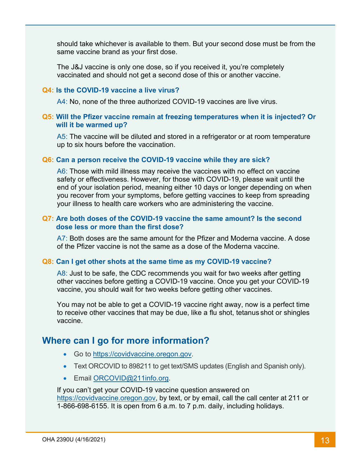should take whichever is available to them. But your second dose must be from the same vaccine brand as your first dose.

The J&J vaccine is only one dose, so if you received it, you're completely vaccinated and should not get a second dose of this or another vaccine.

#### **Q4: Is the COVID-19 vaccine a live virus?**

A4: No, none of the three authorized COVID-19 vaccines are live virus.

#### **Q5: Will the Pfizer vaccine remain at freezing temperatures when it is injected? Or will it be warmed up?**

A5: The vaccine will be diluted and stored in a refrigerator or at room temperature up to six hours before the vaccination.

#### **Q6: Can a person receive the COVID-19 vaccine while they are sick?**

A6: Those with mild illness may receive the vaccines with no effect on vaccine safety or effectiveness. However, for those with COVID-19, please wait until the end of your isolation period, meaning either 10 days or longer depending on when you recover from your symptoms, before getting vaccines to keep from spreading your illness to health care workers who are administering the vaccine.

#### **Q7: Are both doses of the COVID-19 vaccine the same amount? Is the second dose less or more than the first dose?**

A7: Both doses are the same amount for the Pfizer and Moderna vaccine. A dose of the Pfizer vaccine is not the same as a dose of the Moderna vaccine.

#### **Q8: Can I get other shots at the same time as my COVID-19 vaccine?**

A8: Just to be safe, the CDC recommends you wait for two weeks after getting other vaccines before getting a COVID-19 vaccine. Once you get your COVID-19 vaccine, you should wait for two weeks before getting other vaccines.

You may not be able to get a COVID-19 vaccine right away, now is a perfect time to receive other vaccines that may be due, like a flu shot, tetanus shot or shingles vaccine.

### **Where can I go for more information?**

- Go to [https://covidvaccine.oregon.gov.](https://covidvaccine.oregon.gov/)
- Text ORCOVID to 898211 to get text/SMS updates (English and Spanish only).
- Email [ORCOVID@211info.org.](mailto:ORCOVID@211info.org)

If you can't get your COVID-19 vaccine question answered on [https://covidvaccine.oregon.gov,](https://covidvaccine.oregon.gov/) by text, or by email, call the call center at 211 or 1-866-698-6155. It is open from 6 a.m. to 7 p.m. daily, including holidays.